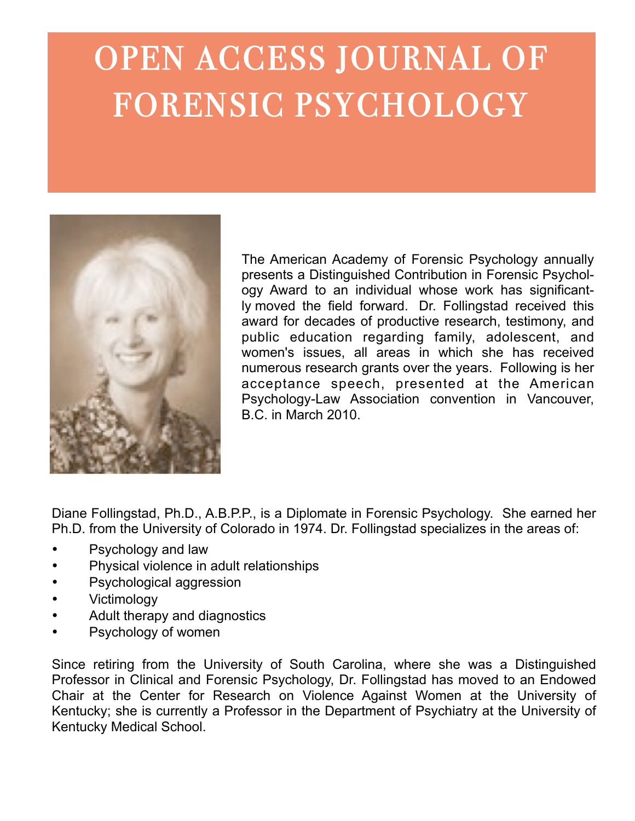## OPEN ACCESS JOURNAL OF FORENSIC PSYCHOLOGY



The American Academy of Forensic Psychology annually presents a Distinguished Contribution in Forensic Psychology Award to an individual whose work has significantly moved the field forward. Dr. Follingstad received this award for decades of productive research, testimony, and public education regarding family, adolescent, and women's issues, all areas in which she has received numerous research grants over the years. Following is her acceptance speech, presented at the American Psychology-Law Association convention in Vancouver, B.C. in March 2010.

Diane Follingstad, Ph.D., A.B.P.P., is a Diplomate in Forensic Psychology. She earned her Ph.D. from the University of Colorado in 1974. Dr. Follingstad specializes in the areas of:

- Psychology and law
- Physical violence in adult relationships
- Psychological aggression
- **Victimology**
- Adult therapy and diagnostics
- Psychology of women

Since retiring from the University of South Carolina, where she was a Distinguished Professor in Clinical and Forensic Psychology, Dr. Follingstad has moved to an Endowed Chair at the Center for Research on Violence Against Women at the University of Kentucky; she is currently a Professor in the Department of Psychiatry at the University of Kentucky Medical School.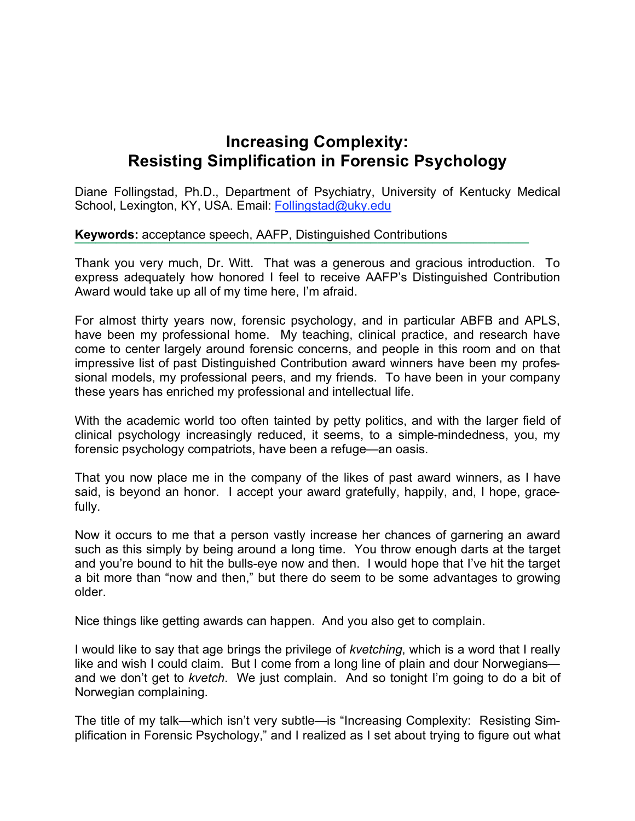## **Increasing Complexity: Resisting Simplification in Forensic Psychology**

Diane Follingstad, Ph.D., Department of Psychiatry, University of Kentucky Medical School, Lexington, KY, USA. Email: Follingstad@uky.edu

## **Keywords:** acceptance speech, AAFP, Distinguished Contributions

Thank you very much, Dr. Witt. That was a generous and gracious introduction. To express adequately how honored I feel to receive AAFP's Distinguished Contribution Award would take up all of my time here, I'm afraid.

**!!!!!!!!!!!!!!!!!!!!!!!!!!!!!!!!!!!!!!!!!!!!!!!!!!!!!!!!!!!!!!!!!!**

For almost thirty years now, forensic psychology, and in particular ABFB and APLS, have been my professional home. My teaching, clinical practice, and research have come to center largely around forensic concerns, and people in this room and on that impressive list of past Distinguished Contribution award winners have been my professional models, my professional peers, and my friends. To have been in your company these years has enriched my professional and intellectual life.

With the academic world too often tainted by petty politics, and with the larger field of clinical psychology increasingly reduced, it seems, to a simple-mindedness, you, my forensic psychology compatriots, have been a refuge—an oasis.

That you now place me in the company of the likes of past award winners, as I have said, is beyond an honor. I accept your award gratefully, happily, and, I hope, gracefully.

Now it occurs to me that a person vastly increase her chances of garnering an award such as this simply by being around a long time. You throw enough darts at the target and you're bound to hit the bulls-eye now and then. I would hope that I've hit the target a bit more than "now and then," but there do seem to be some advantages to growing older.

Nice things like getting awards can happen. And you also get to complain.

I would like to say that age brings the privilege of *kvetching*, which is a word that I really like and wish I could claim. But I come from a long line of plain and dour Norwegians and we don't get to *kvetch*. We just complain. And so tonight I'm going to do a bit of Norwegian complaining.

The title of my talk—which isn't very subtle—is "Increasing Complexity: Resisting Simplification in Forensic Psychology," and I realized as I set about trying to figure out what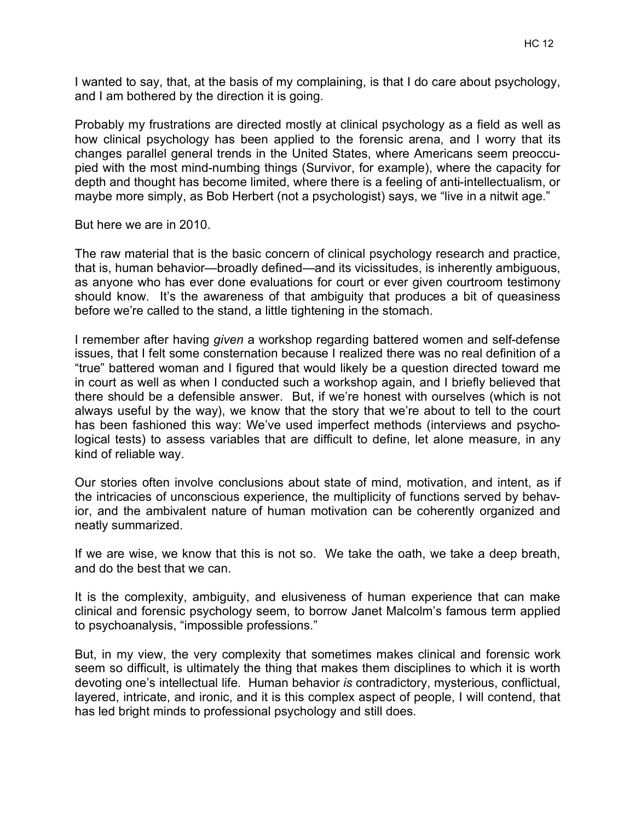I wanted to say, that, at the basis of my complaining, is that I do care about psychology, and I am bothered by the direction it is going.

Probably my frustrations are directed mostly at clinical psychology as a field as well as how clinical psychology has been applied to the forensic arena, and I worry that its changes parallel general trends in the United States, where Americans seem preoccupied with the most mind-numbing things (Survivor, for example), where the capacity for depth and thought has become limited, where there is a feeling of anti-intellectualism, or maybe more simply, as Bob Herbert (not a psychologist) says, we "live in a nitwit age."

But here we are in 2010.

The raw material that is the basic concern of clinical psychology research and practice, that is, human behavior—broadly defined—and its vicissitudes, is inherently ambiguous, as anyone who has ever done evaluations for court or ever given courtroom testimony should know. It's the awareness of that ambiguity that produces a bit of queasiness before we're called to the stand, a little tightening in the stomach.

I remember after having *given* a workshop regarding battered women and self-defense issues, that I felt some consternation because I realized there was no real definition of a "true" battered woman and I figured that would likely be a question directed toward me in court as well as when I conducted such a workshop again, and I briefly believed that there should be a defensible answer. But, if we're honest with ourselves (which is not always useful by the way), we know that the story that we're about to tell to the court has been fashioned this way: We've used imperfect methods (interviews and psychological tests) to assess variables that are difficult to define, let alone measure, in any kind of reliable way.

Our stories often involve conclusions about state of mind, motivation, and intent, as if the intricacies of unconscious experience, the multiplicity of functions served by behavior, and the ambivalent nature of human motivation can be coherently organized and neatly summarized.

If we are wise, we know that this is not so. We take the oath, we take a deep breath, and do the best that we can.

It is the complexity, ambiguity, and elusiveness of human experience that can make clinical and forensic psychology seem, to borrow Janet Malcolm's famous term applied to psychoanalysis, "impossible professions."

But, in my view, the very complexity that sometimes makes clinical and forensic work seem so difficult, is ultimately the thing that makes them disciplines to which it is worth devoting one's intellectual life. Human behavior *is* contradictory, mysterious, conflictual, layered, intricate, and ironic, and it is this complex aspect of people, I will contend, that has led bright minds to professional psychology and still does.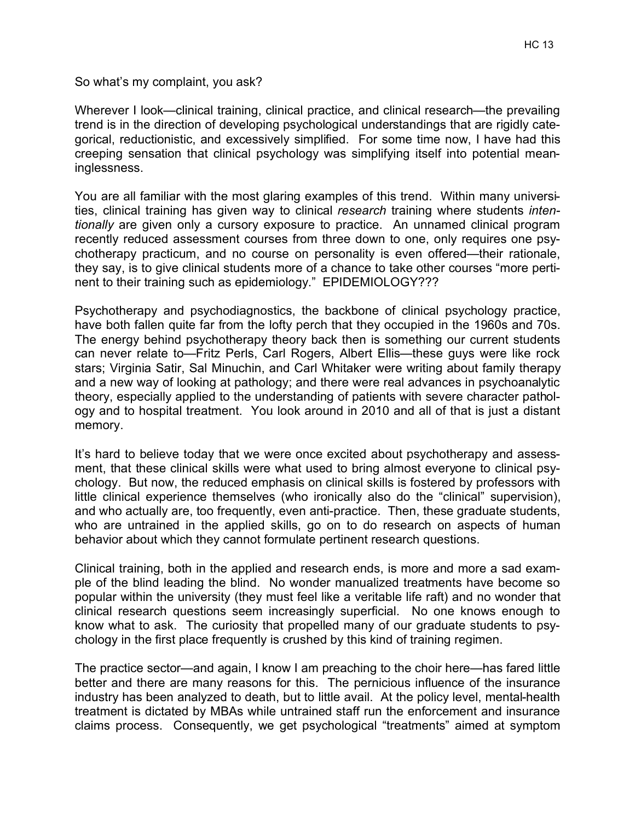So what's my complaint, you ask?

Wherever I look—clinical training, clinical practice, and clinical research—the prevailing trend is in the direction of developing psychological understandings that are rigidly categorical, reductionistic, and excessively simplified. For some time now, I have had this creeping sensation that clinical psychology was simplifying itself into potential meaninglessness.

You are all familiar with the most glaring examples of this trend. Within many universities, clinical training has given way to clinical *research* training where students *intentionally* are given only a cursory exposure to practice. An unnamed clinical program recently reduced assessment courses from three down to one, only requires one psychotherapy practicum, and no course on personality is even offered—their rationale, they say, is to give clinical students more of a chance to take other courses "more pertinent to their training such as epidemiology." EPIDEMIOLOGY???

Psychotherapy and psychodiagnostics, the backbone of clinical psychology practice, have both fallen quite far from the lofty perch that they occupied in the 1960s and 70s. The energy behind psychotherapy theory back then is something our current students can never relate to—Fritz Perls, Carl Rogers, Albert Ellis—these guys were like rock stars; Virginia Satir, Sal Minuchin, and Carl Whitaker were writing about family therapy and a new way of looking at pathology; and there were real advances in psychoanalytic theory, especially applied to the understanding of patients with severe character pathology and to hospital treatment. You look around in 2010 and all of that is just a distant memory.

It's hard to believe today that we were once excited about psychotherapy and assessment, that these clinical skills were what used to bring almost everyone to clinical psychology. But now, the reduced emphasis on clinical skills is fostered by professors with little clinical experience themselves (who ironically also do the "clinical" supervision), and who actually are, too frequently, even anti-practice. Then, these graduate students, who are untrained in the applied skills, go on to do research on aspects of human behavior about which they cannot formulate pertinent research questions.

Clinical training, both in the applied and research ends, is more and more a sad example of the blind leading the blind. No wonder manualized treatments have become so popular within the university (they must feel like a veritable life raft) and no wonder that clinical research questions seem increasingly superficial. No one knows enough to know what to ask. The curiosity that propelled many of our graduate students to psychology in the first place frequently is crushed by this kind of training regimen.

The practice sector—and again, I know I am preaching to the choir here—has fared little better and there are many reasons for this. The pernicious influence of the insurance industry has been analyzed to death, but to little avail. At the policy level, mental-health treatment is dictated by MBAs while untrained staff run the enforcement and insurance claims process. Consequently, we get psychological "treatments" aimed at symptom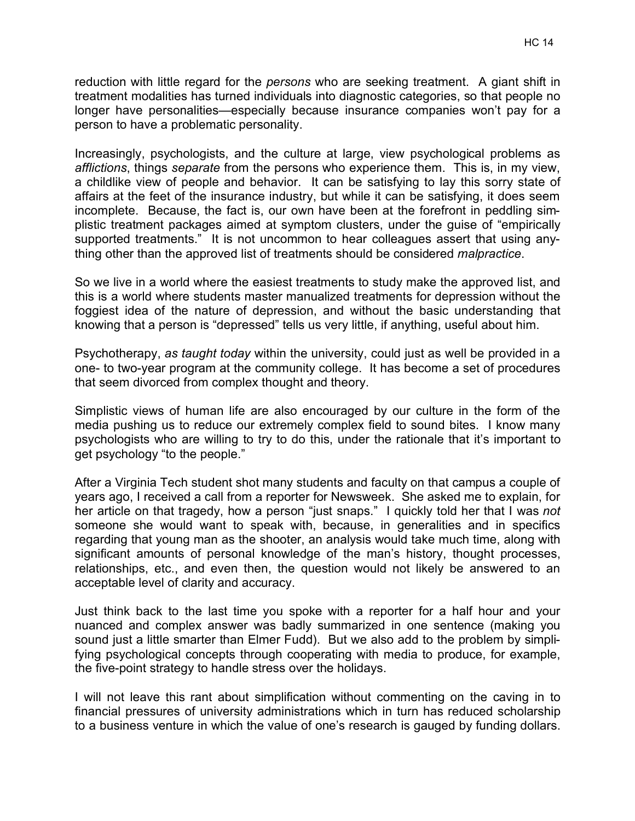reduction with little regard for the *persons* who are seeking treatment. A giant shift in treatment modalities has turned individuals into diagnostic categories, so that people no longer have personalities—especially because insurance companies won't pay for a person to have a problematic personality.

Increasingly, psychologists, and the culture at large, view psychological problems as *afflictions*, things *separate* from the persons who experience them. This is, in my view, a childlike view of people and behavior. It can be satisfying to lay this sorry state of affairs at the feet of the insurance industry, but while it can be satisfying, it does seem incomplete. Because, the fact is, our own have been at the forefront in peddling simplistic treatment packages aimed at symptom clusters, under the guise of "empirically supported treatments." It is not uncommon to hear colleagues assert that using anything other than the approved list of treatments should be considered *malpractice*.

So we live in a world where the easiest treatments to study make the approved list, and this is a world where students master manualized treatments for depression without the foggiest idea of the nature of depression, and without the basic understanding that knowing that a person is "depressed" tells us very little, if anything, useful about him.

Psychotherapy, *as taught today* within the university, could just as well be provided in a one- to two-year program at the community college. It has become a set of procedures that seem divorced from complex thought and theory.

Simplistic views of human life are also encouraged by our culture in the form of the media pushing us to reduce our extremely complex field to sound bites. I know many psychologists who are willing to try to do this, under the rationale that it's important to get psychology "to the people."

After a Virginia Tech student shot many students and faculty on that campus a couple of years ago, I received a call from a reporter for Newsweek. She asked me to explain, for her article on that tragedy, how a person "just snaps." I quickly told her that I was *not* someone she would want to speak with, because, in generalities and in specifics regarding that young man as the shooter, an analysis would take much time, along with significant amounts of personal knowledge of the man's history, thought processes, relationships, etc., and even then, the question would not likely be answered to an acceptable level of clarity and accuracy.

Just think back to the last time you spoke with a reporter for a half hour and your nuanced and complex answer was badly summarized in one sentence (making you sound just a little smarter than Elmer Fudd). But we also add to the problem by simplifying psychological concepts through cooperating with media to produce, for example, the five-point strategy to handle stress over the holidays.

I will not leave this rant about simplification without commenting on the caving in to financial pressures of university administrations which in turn has reduced scholarship to a business venture in which the value of one's research is gauged by funding dollars.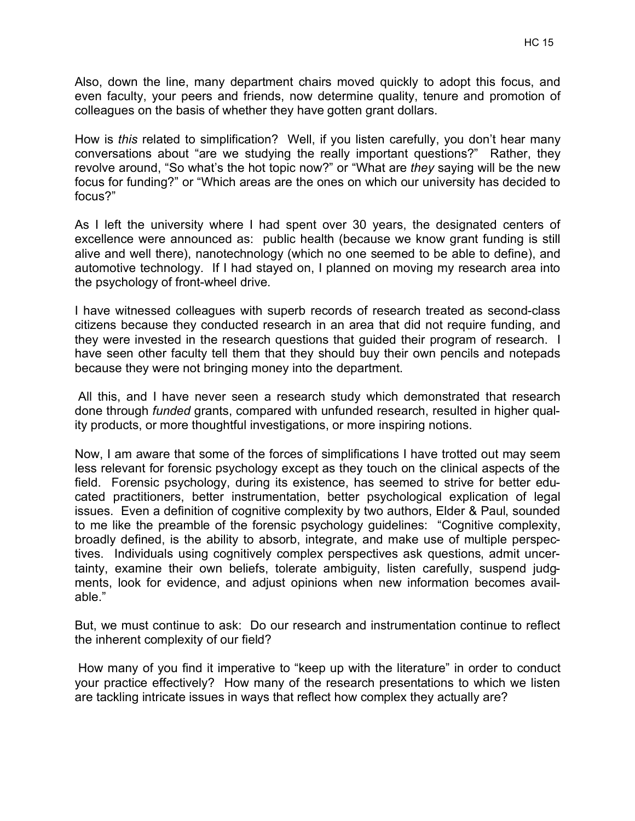Also, down the line, many department chairs moved quickly to adopt this focus, and even faculty, your peers and friends, now determine quality, tenure and promotion of colleagues on the basis of whether they have gotten grant dollars.

How is *this* related to simplification? Well, if you listen carefully, you don't hear many conversations about "are we studying the really important questions?" Rather, they revolve around, "So what's the hot topic now?" or "What are *they* saying will be the new focus for funding?" or "Which areas are the ones on which our university has decided to focus?"

As I left the university where I had spent over 30 years, the designated centers of excellence were announced as: public health (because we know grant funding is still alive and well there), nanotechnology (which no one seemed to be able to define), and automotive technology. If I had stayed on, I planned on moving my research area into the psychology of front-wheel drive.

I have witnessed colleagues with superb records of research treated as second-class citizens because they conducted research in an area that did not require funding, and they were invested in the research questions that guided their program of research. I have seen other faculty tell them that they should buy their own pencils and notepads because they were not bringing money into the department.

 All this, and I have never seen a research study which demonstrated that research done through *funded* grants, compared with unfunded research, resulted in higher quality products, or more thoughtful investigations, or more inspiring notions.

Now, I am aware that some of the forces of simplifications I have trotted out may seem less relevant for forensic psychology except as they touch on the clinical aspects of the field. Forensic psychology, during its existence, has seemed to strive for better educated practitioners, better instrumentation, better psychological explication of legal issues. Even a definition of cognitive complexity by two authors, Elder & Paul, sounded to me like the preamble of the forensic psychology guidelines: "Cognitive complexity, broadly defined, is the ability to absorb, integrate, and make use of multiple perspectives. Individuals using cognitively complex perspectives ask questions, admit uncertainty, examine their own beliefs, tolerate ambiguity, listen carefully, suspend judgments, look for evidence, and adjust opinions when new information becomes available."

But, we must continue to ask: Do our research and instrumentation continue to reflect the inherent complexity of our field?

 How many of you find it imperative to "keep up with the literature" in order to conduct your practice effectively? How many of the research presentations to which we listen are tackling intricate issues in ways that reflect how complex they actually are?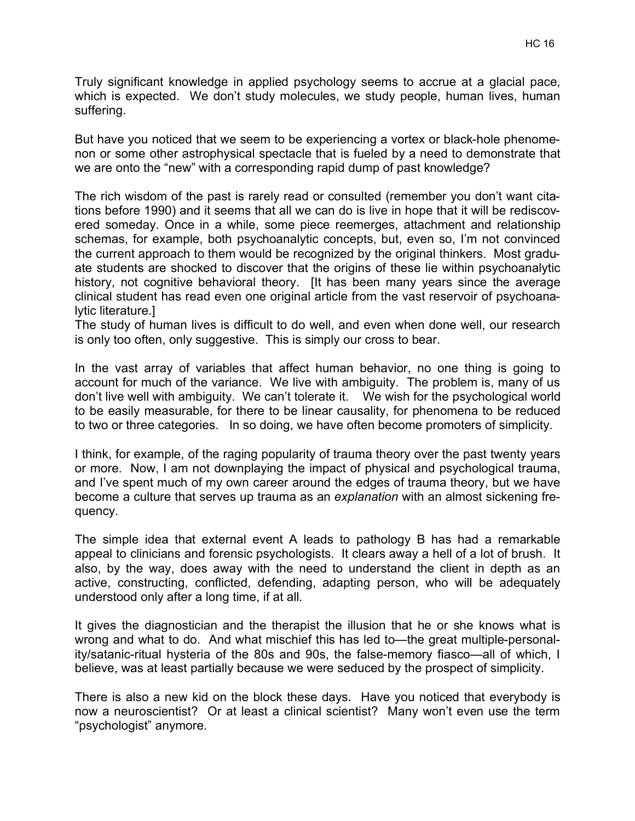Truly significant knowledge in applied psychology seems to accrue at a glacial pace, which is expected. We don't study molecules, we study people, human lives, human suffering.

But have you noticed that we seem to be experiencing a vortex or black-hole phenomenon or some other astrophysical spectacle that is fueled by a need to demonstrate that we are onto the "new" with a corresponding rapid dump of past knowledge?

The rich wisdom of the past is rarely read or consulted (remember you don't want citations before 1990) and it seems that all we can do is live in hope that it will be rediscovered someday. Once in a while, some piece reemerges, attachment and relationship schemas, for example, both psychoanalytic concepts, but, even so, I'm not convinced the current approach to them would be recognized by the original thinkers. Most graduate students are shocked to discover that the origins of these lie within psychoanalytic history, not cognitive behavioral theory. It has been many years since the average clinical student has read even one original article from the vast reservoir of psychoanalytic literature.]

The study of human lives is difficult to do well, and even when done well, our research is only too often, only suggestive. This is simply our cross to bear.

In the vast array of variables that affect human behavior, no one thing is going to account for much of the variance. We live with ambiguity. The problem is, many of us don't live well with ambiguity. We can't tolerate it. We wish for the psychological world to be easily measurable, for there to be linear causality, for phenomena to be reduced to two or three categories. In so doing, we have often become promoters of simplicity.

I think, for example, of the raging popularity of trauma theory over the past twenty years or more. Now, I am not downplaying the impact of physical and psychological trauma, and I've spent much of my own career around the edges of trauma theory, but we have become a culture that serves up trauma as an *explanation* with an almost sickening frequency.

The simple idea that external event A leads to pathology B has had a remarkable appeal to clinicians and forensic psychologists. It clears away a hell of a lot of brush. It also, by the way, does away with the need to understand the client in depth as an active, constructing, conflicted, defending, adapting person, who will be adequately understood only after a long time, if at all.

It gives the diagnostician and the therapist the illusion that he or she knows what is wrong and what to do. And what mischief this has led to—the great multiple-personality/satanic-ritual hysteria of the 80s and 90s, the false-memory fiasco—all of which, I believe, was at least partially because we were seduced by the prospect of simplicity.

There is also a new kid on the block these days. Have you noticed that everybody is now a neuroscientist? Or at least a clinical scientist? Many won't even use the term "psychologist" anymore.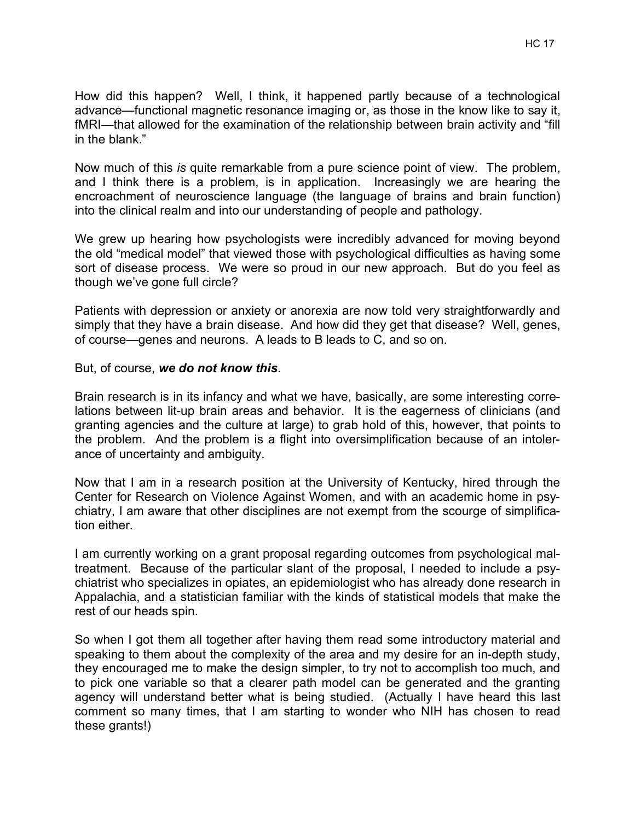How did this happen? Well, I think, it happened partly because of a technological advance—functional magnetic resonance imaging or, as those in the know like to say it, fMRI—that allowed for the examination of the relationship between brain activity and "fill in the blank."

Now much of this *is* quite remarkable from a pure science point of view. The problem, and I think there is a problem, is in application. Increasingly we are hearing the encroachment of neuroscience language (the language of brains and brain function) into the clinical realm and into our understanding of people and pathology.

We grew up hearing how psychologists were incredibly advanced for moving beyond the old "medical model" that viewed those with psychological difficulties as having some sort of disease process. We were so proud in our new approach. But do you feel as though we've gone full circle?

Patients with depression or anxiety or anorexia are now told very straightforwardly and simply that they have a brain disease. And how did they get that disease? Well, genes, of course—genes and neurons. A leads to B leads to C, and so on.

## But, of course, *we do not know this*.

Brain research is in its infancy and what we have, basically, are some interesting correlations between lit-up brain areas and behavior. It is the eagerness of clinicians (and granting agencies and the culture at large) to grab hold of this, however, that points to the problem. And the problem is a flight into oversimplification because of an intolerance of uncertainty and ambiguity.

Now that I am in a research position at the University of Kentucky, hired through the Center for Research on Violence Against Women, and with an academic home in psychiatry, I am aware that other disciplines are not exempt from the scourge of simplification either.

I am currently working on a grant proposal regarding outcomes from psychological maltreatment. Because of the particular slant of the proposal, I needed to include a psychiatrist who specializes in opiates, an epidemiologist who has already done research in Appalachia, and a statistician familiar with the kinds of statistical models that make the rest of our heads spin.

So when I got them all together after having them read some introductory material and speaking to them about the complexity of the area and my desire for an in-depth study, they encouraged me to make the design simpler, to try not to accomplish too much, and to pick one variable so that a clearer path model can be generated and the granting agency will understand better what is being studied. (Actually I have heard this last comment so many times, that I am starting to wonder who NIH has chosen to read these grants!)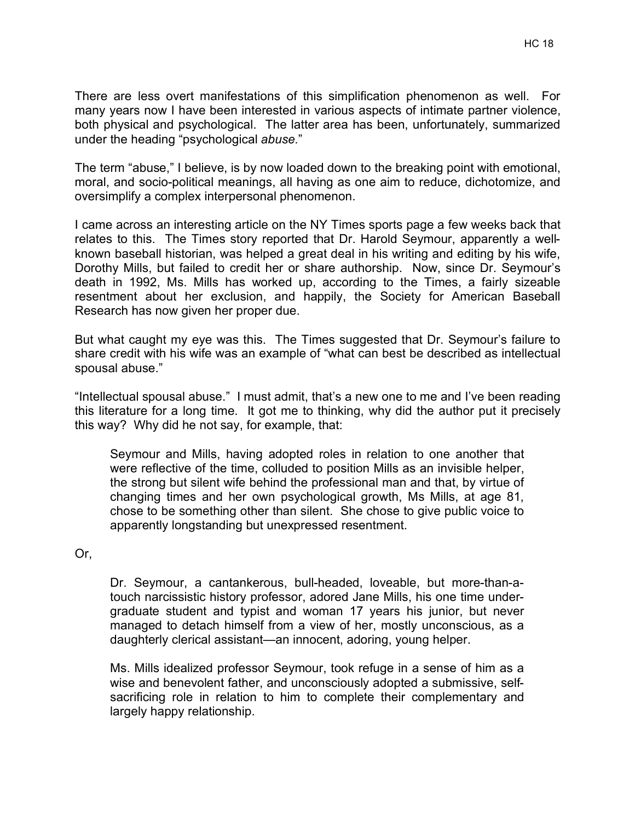The term "abuse," I believe, is by now loaded down to the breaking point with emotional, moral, and socio-political meanings, all having as one aim to reduce, dichotomize, and oversimplify a complex interpersonal phenomenon.

under the heading "psychological *abuse.*"

I came across an interesting article on the NY Times sports page a few weeks back that relates to this. The Times story reported that Dr. Harold Seymour, apparently a wellknown baseball historian, was helped a great deal in his writing and editing by his wife, Dorothy Mills, but failed to credit her or share authorship. Now, since Dr. Seymour's death in 1992, Ms. Mills has worked up, according to the Times, a fairly sizeable resentment about her exclusion, and happily, the Society for American Baseball Research has now given her proper due.

But what caught my eye was this. The Times suggested that Dr. Seymour's failure to share credit with his wife was an example of "what can best be described as intellectual spousal abuse."

"Intellectual spousal abuse." I must admit, that's a new one to me and I've been reading this literature for a long time. It got me to thinking, why did the author put it precisely this way? Why did he not say, for example, that:

Seymour and Mills, having adopted roles in relation to one another that were reflective of the time, colluded to position Mills as an invisible helper, the strong but silent wife behind the professional man and that, by virtue of changing times and her own psychological growth, Ms Mills, at age 81, chose to be something other than silent. She chose to give public voice to apparently longstanding but unexpressed resentment.

Or,

Dr. Seymour, a cantankerous, bull-headed, loveable, but more-than-atouch narcissistic history professor, adored Jane Mills, his one time undergraduate student and typist and woman 17 years his junior, but never managed to detach himself from a view of her, mostly unconscious, as a daughterly clerical assistant—an innocent, adoring, young helper.

Ms. Mills idealized professor Seymour, took refuge in a sense of him as a wise and benevolent father, and unconsciously adopted a submissive, selfsacrificing role in relation to him to complete their complementary and largely happy relationship.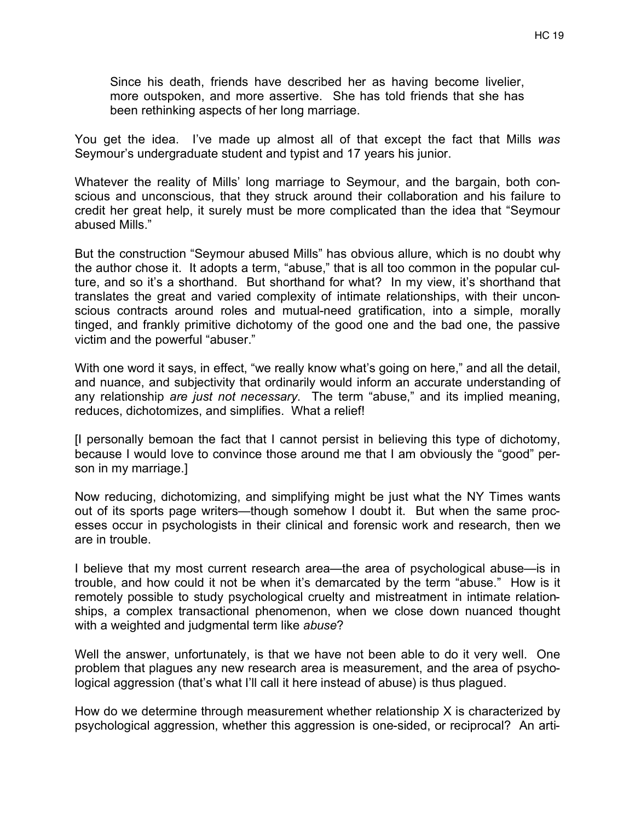Since his death, friends have described her as having become livelier, more outspoken, and more assertive. She has told friends that she has been rethinking aspects of her long marriage.

You get the idea. I've made up almost all of that except the fact that Mills *was* Seymour's undergraduate student and typist and 17 years his junior.

Whatever the reality of Mills' long marriage to Seymour, and the bargain, both conscious and unconscious, that they struck around their collaboration and his failure to credit her great help, it surely must be more complicated than the idea that "Seymour abused Mills."

But the construction "Seymour abused Mills" has obvious allure, which is no doubt why the author chose it. It adopts a term, "abuse," that is all too common in the popular culture, and so it's a shorthand. But shorthand for what? In my view, it's shorthand that translates the great and varied complexity of intimate relationships, with their unconscious contracts around roles and mutual-need gratification, into a simple, morally tinged, and frankly primitive dichotomy of the good one and the bad one, the passive victim and the powerful "abuser."

With one word it says, in effect, "we really know what's going on here," and all the detail, and nuance, and subjectivity that ordinarily would inform an accurate understanding of any relationship *are just not necessary*. The term "abuse," and its implied meaning, reduces, dichotomizes, and simplifies. What a relief!

[I personally bemoan the fact that I cannot persist in believing this type of dichotomy, because I would love to convince those around me that I am obviously the "good" person in my marriage.]

Now reducing, dichotomizing, and simplifying might be just what the NY Times wants out of its sports page writers—though somehow I doubt it. But when the same processes occur in psychologists in their clinical and forensic work and research, then we are in trouble.

I believe that my most current research area—the area of psychological abuse—is in trouble, and how could it not be when it's demarcated by the term "abuse." How is it remotely possible to study psychological cruelty and mistreatment in intimate relationships, a complex transactional phenomenon, when we close down nuanced thought with a weighted and judgmental term like *abuse*?

Well the answer, unfortunately, is that we have not been able to do it very well. One problem that plagues any new research area is measurement, and the area of psychological aggression (that's what I'll call it here instead of abuse) is thus plagued.

How do we determine through measurement whether relationship X is characterized by psychological aggression, whether this aggression is one-sided, or reciprocal? An arti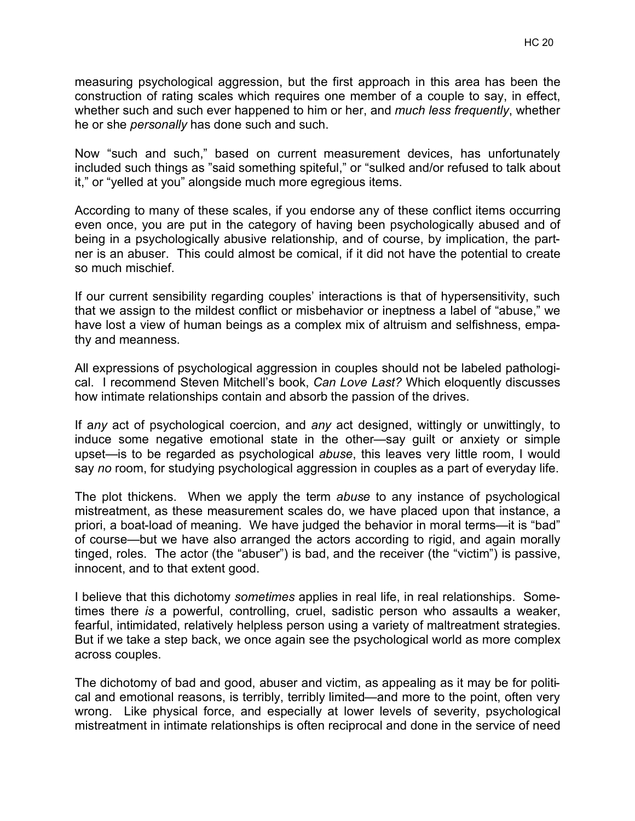measuring psychological aggression, but the first approach in this area has been the construction of rating scales which requires one member of a couple to say, in effect, whether such and such ever happened to him or her, and *much less frequently*, whether he or she *personally* has done such and such.

Now "such and such," based on current measurement devices, has unfortunately included such things as "said something spiteful," or "sulked and/or refused to talk about it," or "yelled at you" alongside much more egregious items.

According to many of these scales, if you endorse any of these conflict items occurring even once, you are put in the category of having been psychologically abused and of being in a psychologically abusive relationship, and of course, by implication, the partner is an abuser. This could almost be comical, if it did not have the potential to create so much mischief.

If our current sensibility regarding couples' interactions is that of hypersensitivity, such that we assign to the mildest conflict or misbehavior or ineptness a label of "abuse," we have lost a view of human beings as a complex mix of altruism and selfishness, empathy and meanness.

All expressions of psychological aggression in couples should not be labeled pathological. I recommend Steven Mitchell's book, *Can Love Last?* Which eloquently discusses how intimate relationships contain and absorb the passion of the drives.

If a*ny* act of psychological coercion, and *any* act designed, wittingly or unwittingly, to induce some negative emotional state in the other—say guilt or anxiety or simple upset—is to be regarded as psychological *abuse*, this leaves very little room, I would say *no* room, for studying psychological aggression in couples as a part of everyday life.

The plot thickens. When we apply the term *abuse* to any instance of psychological mistreatment, as these measurement scales do, we have placed upon that instance, a priori, a boat-load of meaning. We have judged the behavior in moral terms—it is "bad" of course—but we have also arranged the actors according to rigid, and again morally tinged, roles. The actor (the "abuser") is bad, and the receiver (the "victim") is passive, innocent, and to that extent good.

I believe that this dichotomy *sometimes* applies in real life, in real relationships. Sometimes there *is* a powerful, controlling, cruel, sadistic person who assaults a weaker, fearful, intimidated, relatively helpless person using a variety of maltreatment strategies. But if we take a step back, we once again see the psychological world as more complex across couples.

The dichotomy of bad and good, abuser and victim, as appealing as it may be for political and emotional reasons, is terribly, terribly limited—and more to the point, often very wrong. Like physical force, and especially at lower levels of severity, psychological mistreatment in intimate relationships is often reciprocal and done in the service of need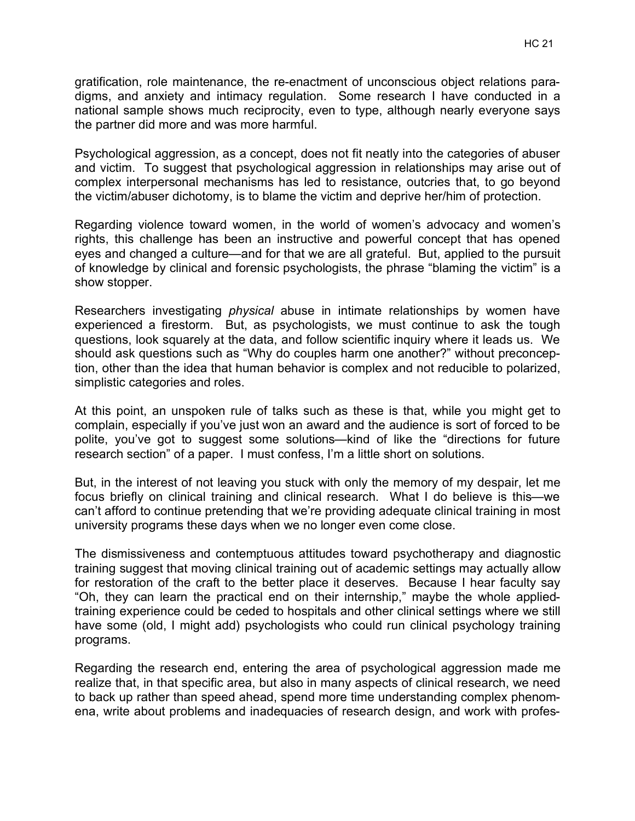gratification, role maintenance, the re-enactment of unconscious object relations paradigms, and anxiety and intimacy regulation. Some research I have conducted in a national sample shows much reciprocity, even to type, although nearly everyone says the partner did more and was more harmful.

Psychological aggression, as a concept, does not fit neatly into the categories of abuser and victim. To suggest that psychological aggression in relationships may arise out of complex interpersonal mechanisms has led to resistance, outcries that, to go beyond the victim/abuser dichotomy, is to blame the victim and deprive her/him of protection.

Regarding violence toward women, in the world of women's advocacy and women's rights, this challenge has been an instructive and powerful concept that has opened eyes and changed a culture—and for that we are all grateful. But, applied to the pursuit of knowledge by clinical and forensic psychologists, the phrase "blaming the victim" is a show stopper.

Researchers investigating *physical* abuse in intimate relationships by women have experienced a firestorm. But, as psychologists, we must continue to ask the tough questions, look squarely at the data, and follow scientific inquiry where it leads us. We should ask questions such as "Why do couples harm one another?" without preconception, other than the idea that human behavior is complex and not reducible to polarized, simplistic categories and roles.

At this point, an unspoken rule of talks such as these is that, while you might get to complain, especially if you've just won an award and the audience is sort of forced to be polite, you've got to suggest some solutions—kind of like the "directions for future research section" of a paper. I must confess, I'm a little short on solutions.

But, in the interest of not leaving you stuck with only the memory of my despair, let me focus briefly on clinical training and clinical research. What I do believe is this—we can't afford to continue pretending that we're providing adequate clinical training in most university programs these days when we no longer even come close.

The dismissiveness and contemptuous attitudes toward psychotherapy and diagnostic training suggest that moving clinical training out of academic settings may actually allow for restoration of the craft to the better place it deserves. Because I hear faculty say "Oh, they can learn the practical end on their internship," maybe the whole appliedtraining experience could be ceded to hospitals and other clinical settings where we still have some (old, I might add) psychologists who could run clinical psychology training programs.

Regarding the research end, entering the area of psychological aggression made me realize that, in that specific area, but also in many aspects of clinical research, we need to back up rather than speed ahead, spend more time understanding complex phenomena, write about problems and inadequacies of research design, and work with profes